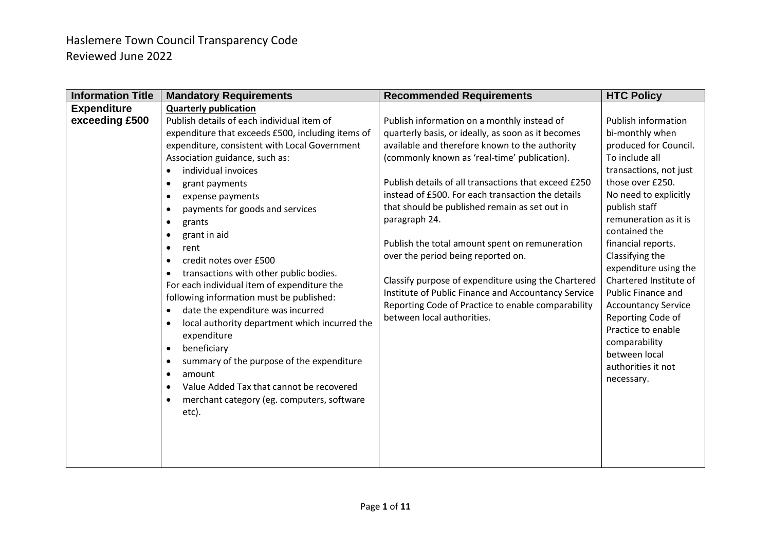| <b>Information Title</b> | <b>Mandatory Requirements</b>                              | <b>Recommended Requirements</b>                      | <b>HTC Policy</b>          |
|--------------------------|------------------------------------------------------------|------------------------------------------------------|----------------------------|
| <b>Expenditure</b>       | <b>Quarterly publication</b>                               |                                                      |                            |
| exceeding £500           | Publish details of each individual item of                 | Publish information on a monthly instead of          | <b>Publish information</b> |
|                          | expenditure that exceeds £500, including items of          | quarterly basis, or ideally, as soon as it becomes   | bi-monthly when            |
|                          | expenditure, consistent with Local Government              | available and therefore known to the authority       | produced for Council.      |
|                          | Association guidance, such as:                             | (commonly known as 'real-time' publication).         | To include all             |
|                          | individual invoices                                        |                                                      | transactions, not just     |
|                          | grant payments                                             | Publish details of all transactions that exceed £250 | those over £250.           |
|                          | expense payments<br>$\bullet$                              | instead of £500. For each transaction the details    | No need to explicitly      |
|                          | payments for goods and services                            | that should be published remain as set out in        | publish staff              |
|                          | grants<br>$\bullet$                                        | paragraph 24.                                        | remuneration as it is      |
|                          | grant in aid                                               |                                                      | contained the              |
|                          | rent<br>$\bullet$                                          | Publish the total amount spent on remuneration       | financial reports.         |
|                          | credit notes over £500                                     | over the period being reported on.                   | Classifying the            |
|                          | transactions with other public bodies.<br>$\bullet$        |                                                      | expenditure using the      |
|                          | For each individual item of expenditure the                | Classify purpose of expenditure using the Chartered  | Chartered Institute of     |
|                          | following information must be published:                   | Institute of Public Finance and Accountancy Service  | Public Finance and         |
|                          | date the expenditure was incurred<br>$\bullet$             | Reporting Code of Practice to enable comparability   | <b>Accountancy Service</b> |
|                          | local authority department which incurred the<br>$\bullet$ | between local authorities.                           | Reporting Code of          |
|                          | expenditure                                                |                                                      | Practice to enable         |
|                          | beneficiary<br>$\bullet$                                   |                                                      | comparability              |
|                          | summary of the purpose of the expenditure                  |                                                      | between local              |
|                          | amount<br>$\bullet$                                        |                                                      | authorities it not         |
|                          | Value Added Tax that cannot be recovered                   |                                                      | necessary.                 |
|                          | merchant category (eg. computers, software<br>$\bullet$    |                                                      |                            |
|                          | etc).                                                      |                                                      |                            |
|                          |                                                            |                                                      |                            |
|                          |                                                            |                                                      |                            |
|                          |                                                            |                                                      |                            |
|                          |                                                            |                                                      |                            |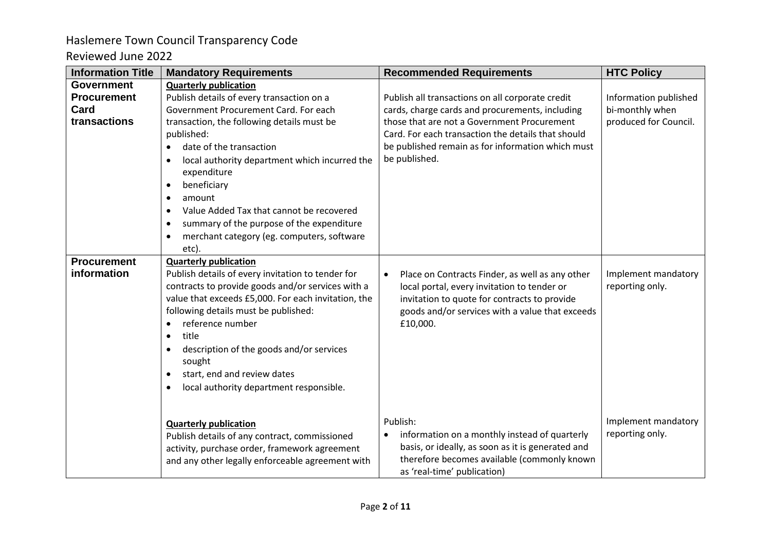| <b>Information Title</b> | <b>Mandatory Requirements</b>                          | <b>Recommended Requirements</b>                                            | <b>HTC Policy</b>     |
|--------------------------|--------------------------------------------------------|----------------------------------------------------------------------------|-----------------------|
| <b>Government</b>        | <b>Quarterly publication</b>                           |                                                                            |                       |
| <b>Procurement</b>       | Publish details of every transaction on a              | Publish all transactions on all corporate credit                           | Information published |
| Card                     | Government Procurement Card. For each                  | cards, charge cards and procurements, including                            | bi-monthly when       |
| transactions             | transaction, the following details must be             | those that are not a Government Procurement                                | produced for Council. |
|                          | published:                                             | Card. For each transaction the details that should                         |                       |
|                          | date of the transaction<br>$\bullet$                   | be published remain as for information which must                          |                       |
|                          | local authority department which incurred the          | be published.                                                              |                       |
|                          | expenditure                                            |                                                                            |                       |
|                          | beneficiary<br>$\bullet$                               |                                                                            |                       |
|                          | amount<br>$\bullet$                                    |                                                                            |                       |
|                          | Value Added Tax that cannot be recovered<br>$\bullet$  |                                                                            |                       |
|                          | summary of the purpose of the expenditure<br>$\bullet$ |                                                                            |                       |
|                          | merchant category (eg. computers, software             |                                                                            |                       |
|                          | etc).                                                  |                                                                            |                       |
| <b>Procurement</b>       | <b>Quarterly publication</b>                           |                                                                            |                       |
| information              | Publish details of every invitation to tender for      | Place on Contracts Finder, as well as any other<br>$\bullet$               | Implement mandatory   |
|                          | contracts to provide goods and/or services with a      | local portal, every invitation to tender or                                | reporting only.       |
|                          | value that exceeds £5,000. For each invitation, the    | invitation to quote for contracts to provide                               |                       |
|                          | following details must be published:                   | goods and/or services with a value that exceeds                            |                       |
|                          | reference number<br>$\bullet$                          | £10,000.                                                                   |                       |
|                          | title                                                  |                                                                            |                       |
|                          | description of the goods and/or services               |                                                                            |                       |
|                          | sought                                                 |                                                                            |                       |
|                          | start, end and review dates                            |                                                                            |                       |
|                          | local authority department responsible.                |                                                                            |                       |
|                          |                                                        |                                                                            |                       |
|                          |                                                        | Publish:                                                                   | Implement mandatory   |
|                          | <b>Quarterly publication</b>                           |                                                                            | reporting only.       |
|                          | Publish details of any contract, commissioned          | information on a monthly instead of quarterly<br>$\bullet$                 |                       |
|                          | activity, purchase order, framework agreement          | basis, or ideally, as soon as it is generated and                          |                       |
|                          | and any other legally enforceable agreement with       | therefore becomes available (commonly known<br>as 'real-time' publication) |                       |
|                          |                                                        |                                                                            |                       |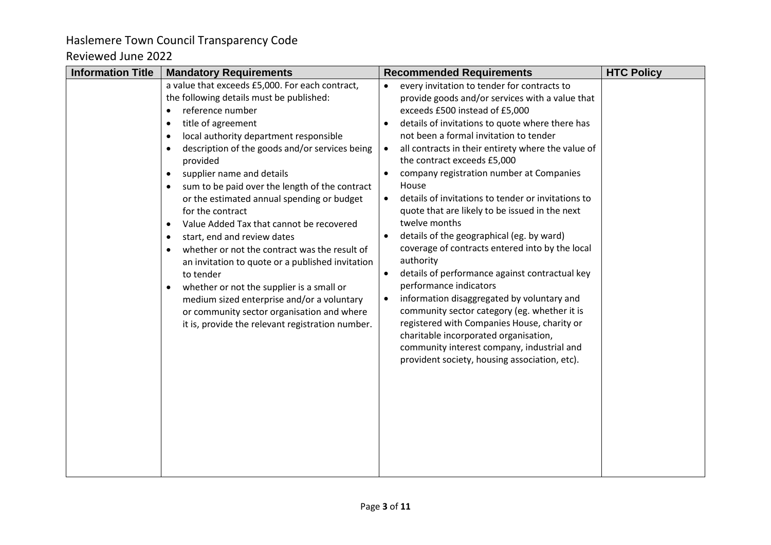| <b>Information Title</b> | <b>Mandatory Requirements</b>                                                                                                                                                                                                                                                                                                                                                                                                                                                                                                                                                                                                                                                                                                                                                            | <b>Recommended Requirements</b>                                                                                                                                                                                                                                                                                                                                                                                                                                                                                                                                                                                                                                                                                                                                                                                                                                                                                                                                                                                                                 | <b>HTC Policy</b> |
|--------------------------|------------------------------------------------------------------------------------------------------------------------------------------------------------------------------------------------------------------------------------------------------------------------------------------------------------------------------------------------------------------------------------------------------------------------------------------------------------------------------------------------------------------------------------------------------------------------------------------------------------------------------------------------------------------------------------------------------------------------------------------------------------------------------------------|-------------------------------------------------------------------------------------------------------------------------------------------------------------------------------------------------------------------------------------------------------------------------------------------------------------------------------------------------------------------------------------------------------------------------------------------------------------------------------------------------------------------------------------------------------------------------------------------------------------------------------------------------------------------------------------------------------------------------------------------------------------------------------------------------------------------------------------------------------------------------------------------------------------------------------------------------------------------------------------------------------------------------------------------------|-------------------|
|                          | a value that exceeds £5,000. For each contract,<br>the following details must be published:<br>reference number<br>title of agreement<br>local authority department responsible<br>description of the goods and/or services being<br>provided<br>supplier name and details<br>sum to be paid over the length of the contract<br>or the estimated annual spending or budget<br>for the contract<br>Value Added Tax that cannot be recovered<br>start, end and review dates<br>whether or not the contract was the result of<br>an invitation to quote or a published invitation<br>to tender<br>whether or not the supplier is a small or<br>medium sized enterprise and/or a voluntary<br>or community sector organisation and where<br>it is, provide the relevant registration number. | every invitation to tender for contracts to<br>$\bullet$<br>provide goods and/or services with a value that<br>exceeds £500 instead of £5,000<br>details of invitations to quote where there has<br>$\bullet$<br>not been a formal invitation to tender<br>all contracts in their entirety where the value of<br>$\bullet$<br>the contract exceeds £5,000<br>company registration number at Companies<br>House<br>details of invitations to tender or invitations to<br>$\bullet$<br>quote that are likely to be issued in the next<br>twelve months<br>details of the geographical (eg. by ward)<br>coverage of contracts entered into by the local<br>authority<br>details of performance against contractual key<br>performance indicators<br>information disaggregated by voluntary and<br>$\bullet$<br>community sector category (eg. whether it is<br>registered with Companies House, charity or<br>charitable incorporated organisation,<br>community interest company, industrial and<br>provident society, housing association, etc). |                   |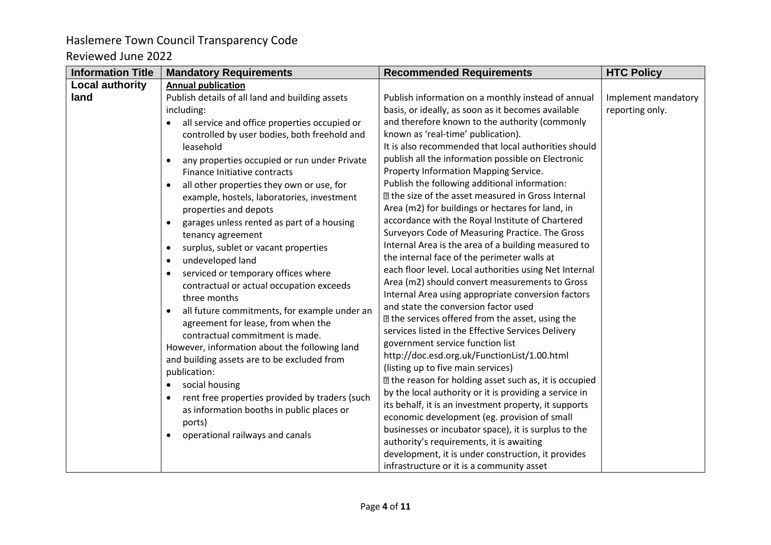| <b>Information Title</b> | <b>Mandatory Requirements</b>                              | <b>Recommended Requirements</b>                           | <b>HTC Policy</b>   |
|--------------------------|------------------------------------------------------------|-----------------------------------------------------------|---------------------|
| <b>Local authority</b>   | <b>Annual publication</b>                                  |                                                           |                     |
| land                     | Publish details of all land and building assets            | Publish information on a monthly instead of annual        | Implement mandatory |
|                          | including:                                                 | basis, or ideally, as soon as it becomes available        | reporting only.     |
|                          | all service and office properties occupied or<br>$\bullet$ | and therefore known to the authority (commonly            |                     |
|                          | controlled by user bodies, both freehold and               | known as 'real-time' publication).                        |                     |
|                          | leasehold                                                  | It is also recommended that local authorities should      |                     |
|                          | any properties occupied or run under Private<br>$\bullet$  | publish all the information possible on Electronic        |                     |
|                          | Finance Initiative contracts                               | Property Information Mapping Service.                     |                     |
|                          | all other properties they own or use, for                  | Publish the following additional information:             |                     |
|                          | example, hostels, laboratories, investment                 | <b>I</b> the size of the asset measured in Gross Internal |                     |
|                          | properties and depots                                      | Area (m2) for buildings or hectares for land, in          |                     |
|                          | garages unless rented as part of a housing                 | accordance with the Royal Institute of Chartered          |                     |
|                          | tenancy agreement                                          | Surveyors Code of Measuring Practice. The Gross           |                     |
|                          | surplus, sublet or vacant properties<br>$\bullet$          | Internal Area is the area of a building measured to       |                     |
|                          | undeveloped land<br>$\bullet$                              | the internal face of the perimeter walls at               |                     |
|                          | serviced or temporary offices where<br>$\bullet$           | each floor level. Local authorities using Net Internal    |                     |
|                          | contractual or actual occupation exceeds                   | Area (m2) should convert measurements to Gross            |                     |
|                          | three months                                               | Internal Area using appropriate conversion factors        |                     |
|                          | all future commitments, for example under an               | and state the conversion factor used                      |                     |
|                          | agreement for lease, from when the                         | I the services offered from the asset, using the          |                     |
|                          | contractual commitment is made.                            | services listed in the Effective Services Delivery        |                     |
|                          | However, information about the following land              | government service function list                          |                     |
|                          | and building assets are to be excluded from                | http://doc.esd.org.uk/FunctionList/1.00.html              |                     |
|                          | publication:                                               | (listing up to five main services)                        |                     |
|                          | social housing<br>$\bullet$                                | I the reason for holding asset such as, it is occupied    |                     |
|                          | rent free properties provided by traders (such             | by the local authority or it is providing a service in    |                     |
|                          | as information booths in public places or                  | its behalf, it is an investment property, it supports     |                     |
|                          | ports)                                                     | economic development (eg. provision of small              |                     |
|                          | operational railways and canals                            | businesses or incubator space), it is surplus to the      |                     |
|                          |                                                            | authority's requirements, it is awaiting                  |                     |
|                          |                                                            | development, it is under construction, it provides        |                     |
|                          |                                                            | infrastructure or it is a community asset                 |                     |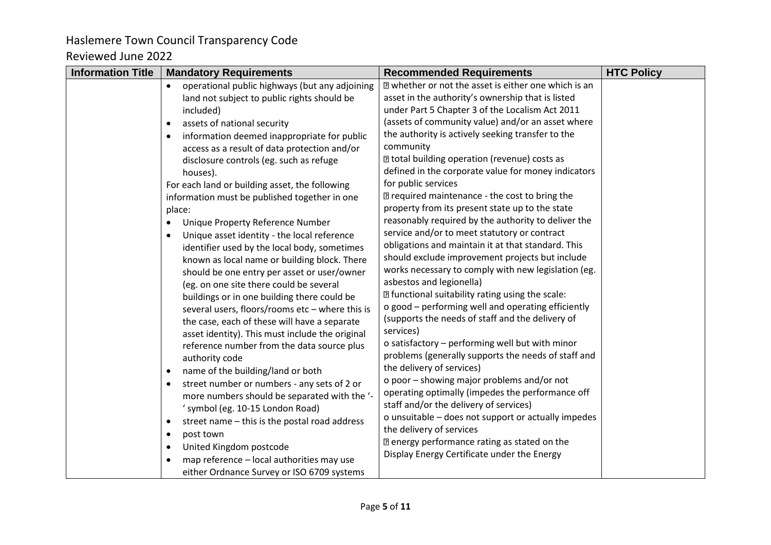| <b>Information Title</b> | <b>Mandatory Requirements</b>                                | <b>Recommended Requirements</b>                                                 | <b>HTC Policy</b> |
|--------------------------|--------------------------------------------------------------|---------------------------------------------------------------------------------|-------------------|
|                          | operational public highways (but any adjoining<br>$\bullet$  | a whether or not the asset is either one which is an                            |                   |
|                          | land not subject to public rights should be                  | asset in the authority's ownership that is listed                               |                   |
|                          | included)                                                    | under Part 5 Chapter 3 of the Localism Act 2011                                 |                   |
|                          | assets of national security<br>$\bullet$                     | (assets of community value) and/or an asset where                               |                   |
|                          | information deemed inappropriate for public                  | the authority is actively seeking transfer to the                               |                   |
|                          | access as a result of data protection and/or                 | community                                                                       |                   |
|                          | disclosure controls (eg. such as refuge                      | I total building operation (revenue) costs as                                   |                   |
|                          | houses).                                                     | defined in the corporate value for money indicators                             |                   |
|                          | For each land or building asset, the following               | for public services                                                             |                   |
|                          | information must be published together in one                | sqrt2 required maintenance - the cost to bring the                              |                   |
|                          | place:                                                       | property from its present state up to the state                                 |                   |
|                          | Unique Property Reference Number<br>٠                        | reasonably required by the authority to deliver the                             |                   |
|                          | Unique asset identity - the local reference<br>$\bullet$     | service and/or to meet statutory or contract                                    |                   |
|                          | identifier used by the local body, sometimes                 | obligations and maintain it at that standard. This                              |                   |
|                          | known as local name or building block. There                 | should exclude improvement projects but include                                 |                   |
|                          | should be one entry per asset or user/owner                  | works necessary to comply with new legislation (eg.<br>asbestos and legionella) |                   |
|                          | (eg. on one site there could be several                      | I functional suitability rating using the scale:                                |                   |
|                          | buildings or in one building there could be                  | o good - performing well and operating efficiently                              |                   |
|                          | several users, floors/rooms etc - where this is              | (supports the needs of staff and the delivery of                                |                   |
|                          | the case, each of these will have a separate                 | services)                                                                       |                   |
|                          | asset identity). This must include the original              | o satisfactory - performing well but with minor                                 |                   |
|                          | reference number from the data source plus<br>authority code | problems (generally supports the needs of staff and                             |                   |
|                          | name of the building/land or both<br>$\bullet$               | the delivery of services)                                                       |                   |
|                          | street number or numbers - any sets of 2 or                  | o poor - showing major problems and/or not                                      |                   |
|                          | more numbers should be separated with the '-                 | operating optimally (impedes the performance off                                |                   |
|                          | ' symbol (eg. 10-15 London Road)                             | staff and/or the delivery of services)                                          |                   |
|                          | street name - this is the postal road address<br>$\bullet$   | o unsuitable - does not support or actually impedes                             |                   |
|                          | post town<br>$\bullet$                                       | the delivery of services                                                        |                   |
|                          | United Kingdom postcode<br>$\bullet$                         | a energy performance rating as stated on the                                    |                   |
|                          | map reference - local authorities may use                    | Display Energy Certificate under the Energy                                     |                   |
|                          | either Ordnance Survey or ISO 6709 systems                   |                                                                                 |                   |
|                          |                                                              |                                                                                 |                   |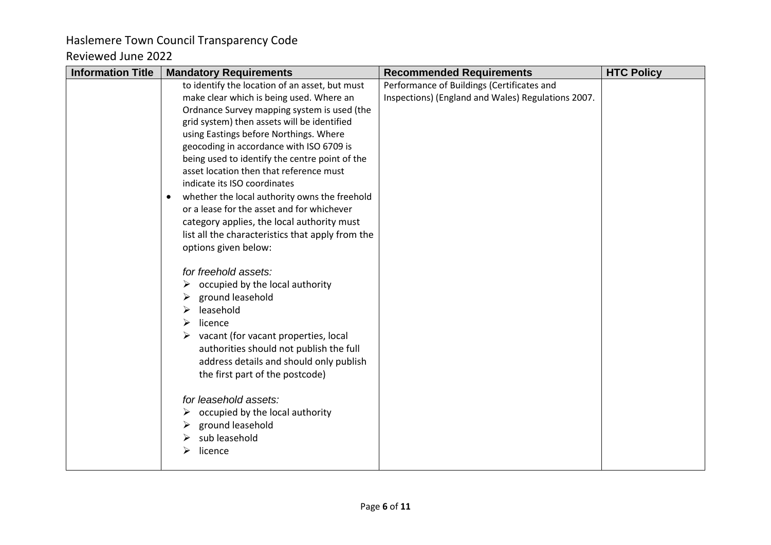### Haslemere Town Council Transparency Code Reviewed June 2022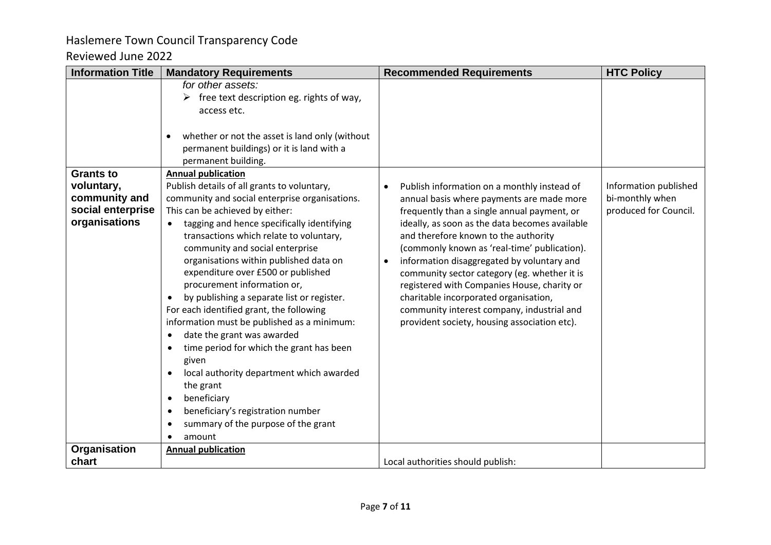| <b>Information Title</b>                                                              | <b>Mandatory Requirements</b>                                                                                                                                                                                                                                                                                                                                                                                                                                                                                                                                                                                                                                                                                                                                                                                                | <b>Recommended Requirements</b>                                                                                                                                                                                                                                                                                                                                                                                                                                                                                                                                                                 | <b>HTC Policy</b>                                                 |
|---------------------------------------------------------------------------------------|------------------------------------------------------------------------------------------------------------------------------------------------------------------------------------------------------------------------------------------------------------------------------------------------------------------------------------------------------------------------------------------------------------------------------------------------------------------------------------------------------------------------------------------------------------------------------------------------------------------------------------------------------------------------------------------------------------------------------------------------------------------------------------------------------------------------------|-------------------------------------------------------------------------------------------------------------------------------------------------------------------------------------------------------------------------------------------------------------------------------------------------------------------------------------------------------------------------------------------------------------------------------------------------------------------------------------------------------------------------------------------------------------------------------------------------|-------------------------------------------------------------------|
|                                                                                       | for other assets:<br>free text description eg. rights of way,<br>access etc.<br>whether or not the asset is land only (without<br>permanent buildings) or it is land with a<br>permanent building.                                                                                                                                                                                                                                                                                                                                                                                                                                                                                                                                                                                                                           |                                                                                                                                                                                                                                                                                                                                                                                                                                                                                                                                                                                                 |                                                                   |
| <b>Grants to</b><br>voluntary,<br>community and<br>social enterprise<br>organisations | <b>Annual publication</b><br>Publish details of all grants to voluntary,<br>community and social enterprise organisations.<br>This can be achieved by either:<br>tagging and hence specifically identifying<br>$\bullet$<br>transactions which relate to voluntary,<br>community and social enterprise<br>organisations within published data on<br>expenditure over £500 or published<br>procurement information or,<br>by publishing a separate list or register.<br>For each identified grant, the following<br>information must be published as a minimum:<br>date the grant was awarded<br>time period for which the grant has been<br>given<br>local authority department which awarded<br>the grant<br>beneficiary<br>$\bullet$<br>beneficiary's registration number<br>summary of the purpose of the grant<br>amount | Publish information on a monthly instead of<br>$\bullet$<br>annual basis where payments are made more<br>frequently than a single annual payment, or<br>ideally, as soon as the data becomes available<br>and therefore known to the authority<br>(commonly known as 'real-time' publication).<br>information disaggregated by voluntary and<br>$\bullet$<br>community sector category (eg. whether it is<br>registered with Companies House, charity or<br>charitable incorporated organisation,<br>community interest company, industrial and<br>provident society, housing association etc). | Information published<br>bi-monthly when<br>produced for Council. |
| Organisation                                                                          | <b>Annual publication</b>                                                                                                                                                                                                                                                                                                                                                                                                                                                                                                                                                                                                                                                                                                                                                                                                    |                                                                                                                                                                                                                                                                                                                                                                                                                                                                                                                                                                                                 |                                                                   |
| chart                                                                                 |                                                                                                                                                                                                                                                                                                                                                                                                                                                                                                                                                                                                                                                                                                                                                                                                                              | Local authorities should publish:                                                                                                                                                                                                                                                                                                                                                                                                                                                                                                                                                               |                                                                   |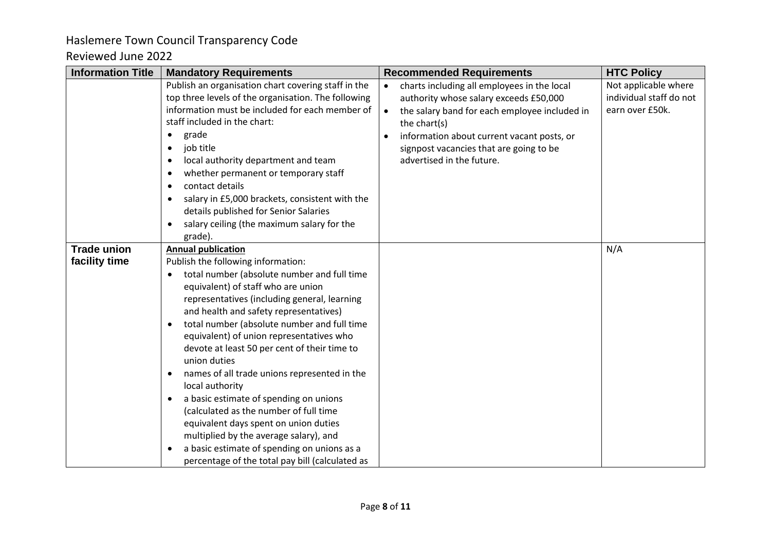| <b>Information Title</b>            | <b>Mandatory Requirements</b>                                                                                                                                                                                                                                                                                                                                                                                                                                                                                                                                                                                                                                                                                                                                           | <b>Recommended Requirements</b>                                                                                                                                                                                                                                                                        | <b>HTC Policy</b>                                                  |
|-------------------------------------|-------------------------------------------------------------------------------------------------------------------------------------------------------------------------------------------------------------------------------------------------------------------------------------------------------------------------------------------------------------------------------------------------------------------------------------------------------------------------------------------------------------------------------------------------------------------------------------------------------------------------------------------------------------------------------------------------------------------------------------------------------------------------|--------------------------------------------------------------------------------------------------------------------------------------------------------------------------------------------------------------------------------------------------------------------------------------------------------|--------------------------------------------------------------------|
|                                     | Publish an organisation chart covering staff in the<br>top three levels of the organisation. The following<br>information must be included for each member of<br>staff included in the chart:<br>grade<br>$\bullet$<br>job title<br>$\bullet$<br>local authority department and team<br>$\bullet$<br>whether permanent or temporary staff<br>$\bullet$<br>contact details<br>$\bullet$<br>salary in £5,000 brackets, consistent with the<br>٠<br>details published for Senior Salaries<br>salary ceiling (the maximum salary for the<br>grade).                                                                                                                                                                                                                         | charts including all employees in the local<br>$\bullet$<br>authority whose salary exceeds £50,000<br>the salary band for each employee included in<br>$\bullet$<br>the chart(s)<br>information about current vacant posts, or<br>signpost vacancies that are going to be<br>advertised in the future. | Not applicable where<br>individual staff do not<br>earn over £50k. |
| <b>Trade union</b><br>facility time | <b>Annual publication</b><br>Publish the following information:<br>total number (absolute number and full time<br>equivalent) of staff who are union<br>representatives (including general, learning<br>and health and safety representatives)<br>total number (absolute number and full time<br>equivalent) of union representatives who<br>devote at least 50 per cent of their time to<br>union duties<br>names of all trade unions represented in the<br>٠<br>local authority<br>a basic estimate of spending on unions<br>$\bullet$<br>(calculated as the number of full time<br>equivalent days spent on union duties<br>multiplied by the average salary), and<br>a basic estimate of spending on unions as a<br>percentage of the total pay bill (calculated as |                                                                                                                                                                                                                                                                                                        | N/A                                                                |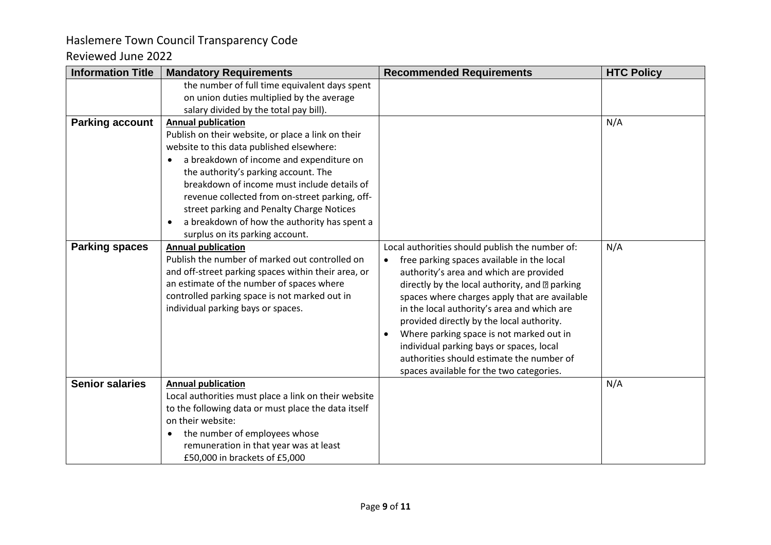| <b>Information Title</b> | <b>Mandatory Requirements</b>                                                                                                                                                                                                                                                                                                                                                                                                                                  | <b>Recommended Requirements</b>                                                                                                                                                                                                                                                                                                                                                                                                                                                                                                                    | <b>HTC Policy</b> |
|--------------------------|----------------------------------------------------------------------------------------------------------------------------------------------------------------------------------------------------------------------------------------------------------------------------------------------------------------------------------------------------------------------------------------------------------------------------------------------------------------|----------------------------------------------------------------------------------------------------------------------------------------------------------------------------------------------------------------------------------------------------------------------------------------------------------------------------------------------------------------------------------------------------------------------------------------------------------------------------------------------------------------------------------------------------|-------------------|
|                          | the number of full time equivalent days spent<br>on union duties multiplied by the average<br>salary divided by the total pay bill).                                                                                                                                                                                                                                                                                                                           |                                                                                                                                                                                                                                                                                                                                                                                                                                                                                                                                                    |                   |
| <b>Parking account</b>   | <b>Annual publication</b><br>Publish on their website, or place a link on their<br>website to this data published elsewhere:<br>a breakdown of income and expenditure on<br>the authority's parking account. The<br>breakdown of income must include details of<br>revenue collected from on-street parking, off-<br>street parking and Penalty Charge Notices<br>a breakdown of how the authority has spent a<br>$\bullet$<br>surplus on its parking account. |                                                                                                                                                                                                                                                                                                                                                                                                                                                                                                                                                    | N/A               |
| <b>Parking spaces</b>    | <b>Annual publication</b><br>Publish the number of marked out controlled on<br>and off-street parking spaces within their area, or<br>an estimate of the number of spaces where<br>controlled parking space is not marked out in<br>individual parking bays or spaces.                                                                                                                                                                                         | Local authorities should publish the number of:<br>free parking spaces available in the local<br>$\bullet$<br>authority's area and which are provided<br>directly by the local authority, and 2 parking<br>spaces where charges apply that are available<br>in the local authority's area and which are<br>provided directly by the local authority.<br>Where parking space is not marked out in<br>$\bullet$<br>individual parking bays or spaces, local<br>authorities should estimate the number of<br>spaces available for the two categories. | N/A               |
| <b>Senior salaries</b>   | <b>Annual publication</b><br>Local authorities must place a link on their website<br>to the following data or must place the data itself<br>on their website:<br>the number of employees whose<br>remuneration in that year was at least<br>£50,000 in brackets of £5,000                                                                                                                                                                                      |                                                                                                                                                                                                                                                                                                                                                                                                                                                                                                                                                    | N/A               |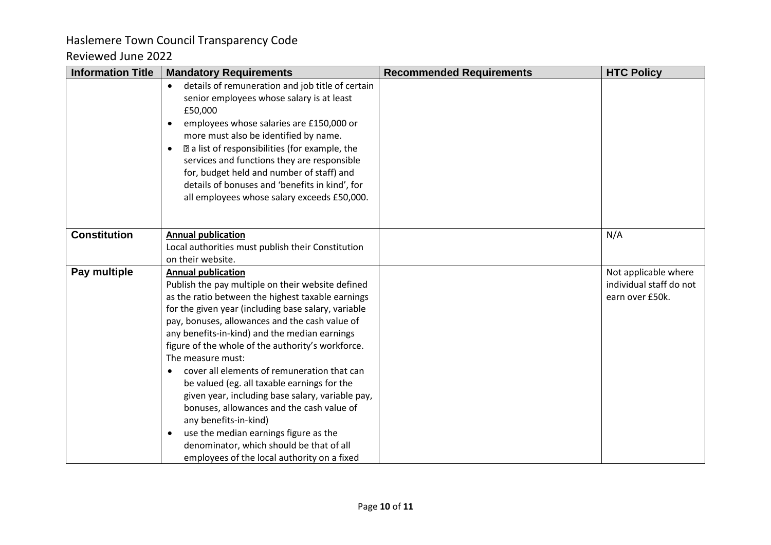| <b>Information Title</b> | <b>Mandatory Requirements</b>                                                                                                                                                                                                                                                                                                                                                                                                                                                     | <b>Recommended Requirements</b> | <b>HTC Policy</b>       |
|--------------------------|-----------------------------------------------------------------------------------------------------------------------------------------------------------------------------------------------------------------------------------------------------------------------------------------------------------------------------------------------------------------------------------------------------------------------------------------------------------------------------------|---------------------------------|-------------------------|
|                          | details of remuneration and job title of certain<br>$\bullet$<br>senior employees whose salary is at least<br>£50,000<br>employees whose salaries are £150,000 or<br>$\bullet$<br>more must also be identified by name.<br>a list of responsibilities (for example, the<br>$\bullet$<br>services and functions they are responsible<br>for, budget held and number of staff) and<br>details of bonuses and 'benefits in kind', for<br>all employees whose salary exceeds £50,000. |                                 |                         |
| <b>Constitution</b>      | <b>Annual publication</b>                                                                                                                                                                                                                                                                                                                                                                                                                                                         |                                 | N/A                     |
|                          | Local authorities must publish their Constitution                                                                                                                                                                                                                                                                                                                                                                                                                                 |                                 |                         |
|                          | on their website.                                                                                                                                                                                                                                                                                                                                                                                                                                                                 |                                 |                         |
| Pay multiple             | <b>Annual publication</b>                                                                                                                                                                                                                                                                                                                                                                                                                                                         |                                 | Not applicable where    |
|                          | Publish the pay multiple on their website defined                                                                                                                                                                                                                                                                                                                                                                                                                                 |                                 | individual staff do not |
|                          | as the ratio between the highest taxable earnings                                                                                                                                                                                                                                                                                                                                                                                                                                 |                                 | earn over £50k.         |
|                          | for the given year (including base salary, variable                                                                                                                                                                                                                                                                                                                                                                                                                               |                                 |                         |
|                          | pay, bonuses, allowances and the cash value of                                                                                                                                                                                                                                                                                                                                                                                                                                    |                                 |                         |
|                          | any benefits-in-kind) and the median earnings<br>figure of the whole of the authority's workforce.                                                                                                                                                                                                                                                                                                                                                                                |                                 |                         |
|                          | The measure must:                                                                                                                                                                                                                                                                                                                                                                                                                                                                 |                                 |                         |
|                          | cover all elements of remuneration that can<br>$\bullet$                                                                                                                                                                                                                                                                                                                                                                                                                          |                                 |                         |
|                          | be valued (eg. all taxable earnings for the                                                                                                                                                                                                                                                                                                                                                                                                                                       |                                 |                         |
|                          | given year, including base salary, variable pay,                                                                                                                                                                                                                                                                                                                                                                                                                                  |                                 |                         |
|                          | bonuses, allowances and the cash value of                                                                                                                                                                                                                                                                                                                                                                                                                                         |                                 |                         |
|                          | any benefits-in-kind)                                                                                                                                                                                                                                                                                                                                                                                                                                                             |                                 |                         |
|                          | use the median earnings figure as the<br>$\bullet$                                                                                                                                                                                                                                                                                                                                                                                                                                |                                 |                         |
|                          | denominator, which should be that of all                                                                                                                                                                                                                                                                                                                                                                                                                                          |                                 |                         |
|                          | employees of the local authority on a fixed                                                                                                                                                                                                                                                                                                                                                                                                                                       |                                 |                         |